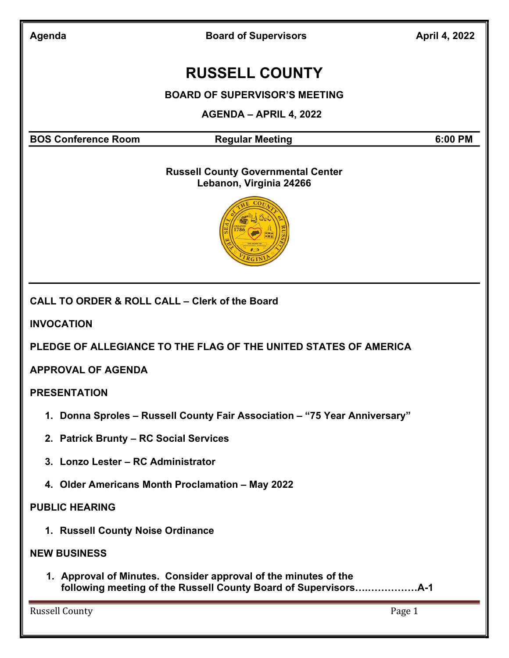Board of Supervisors **April 4, 2022** 

# RUSSELL COUNTY

BOARD OF SUPERVISOR'S MEETING

AGENDA – APRIL 4, 2022

BOS Conference Room Regular Meeting 6:00 PM

#### Russell County Governmental Center Lebanon, Virginia 24266



CALL TO ORDER & ROLL CALL – Clerk of the Board

INVOCATION

PLEDGE OF ALLEGIANCE TO THE FLAG OF THE UNITED STATES OF AMERICA

APPROVAL OF AGENDA

PRESENTATION

- 1. Donna Sproles Russell County Fair Association "75 Year Anniversary"
- 2. Patrick Brunty RC Social Services
- 3. Lonzo Lester RC Administrator
- 4. Older Americans Month Proclamation May 2022

#### PUBLIC HEARING

1. Russell County Noise Ordinance

#### NEW BUSINESS

1. Approval of Minutes. Consider approval of the minutes of the following meeting of the Russell County Board of Supervisors….……………A-1

Russell County **Page 1**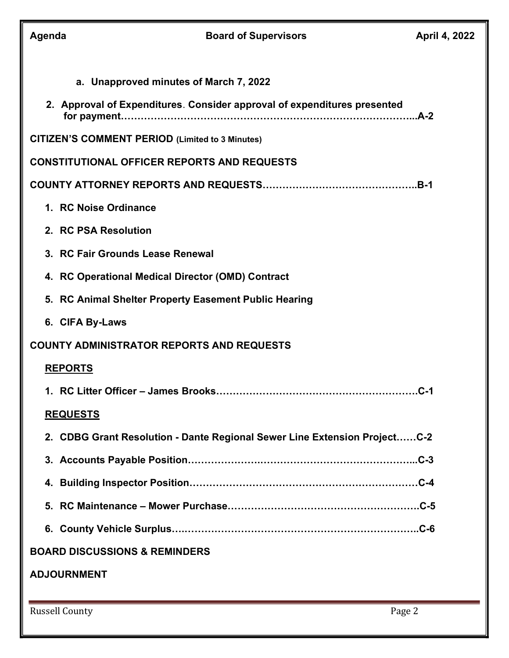| Agenda                                           | <b>Board of Supervisors</b>                                               | April 4, 2022 |  |
|--------------------------------------------------|---------------------------------------------------------------------------|---------------|--|
|                                                  | a. Unapproved minutes of March 7, 2022                                    |               |  |
|                                                  | 2. Approval of Expenditures. Consider approval of expenditures presented  |               |  |
|                                                  | <b>CITIZEN'S COMMENT PERIOD (Limited to 3 Minutes)</b>                    |               |  |
|                                                  | <b>CONSTITUTIONAL OFFICER REPORTS AND REQUESTS</b>                        |               |  |
|                                                  |                                                                           |               |  |
|                                                  | 1. RC Noise Ordinance                                                     |               |  |
|                                                  | 2. RC PSA Resolution                                                      |               |  |
|                                                  | 3. RC Fair Grounds Lease Renewal                                          |               |  |
|                                                  | 4. RC Operational Medical Director (OMD) Contract                         |               |  |
|                                                  | 5. RC Animal Shelter Property Easement Public Hearing                     |               |  |
|                                                  | 6. CIFA By-Laws                                                           |               |  |
| <b>COUNTY ADMINISTRATOR REPORTS AND REQUESTS</b> |                                                                           |               |  |
|                                                  | <b>REPORTS</b>                                                            |               |  |
|                                                  |                                                                           |               |  |
|                                                  | <b>REQUESTS</b>                                                           |               |  |
|                                                  | 2. CDBG Grant Resolution - Dante Regional Sewer Line Extension ProjectC-2 |               |  |
|                                                  |                                                                           |               |  |
|                                                  |                                                                           |               |  |
|                                                  |                                                                           |               |  |
|                                                  |                                                                           |               |  |
| <b>BOARD DISCUSSIONS &amp; REMINDERS</b>         |                                                                           |               |  |
| <b>ADJOURNMENT</b>                               |                                                                           |               |  |
|                                                  |                                                                           |               |  |

Russell County Page 2